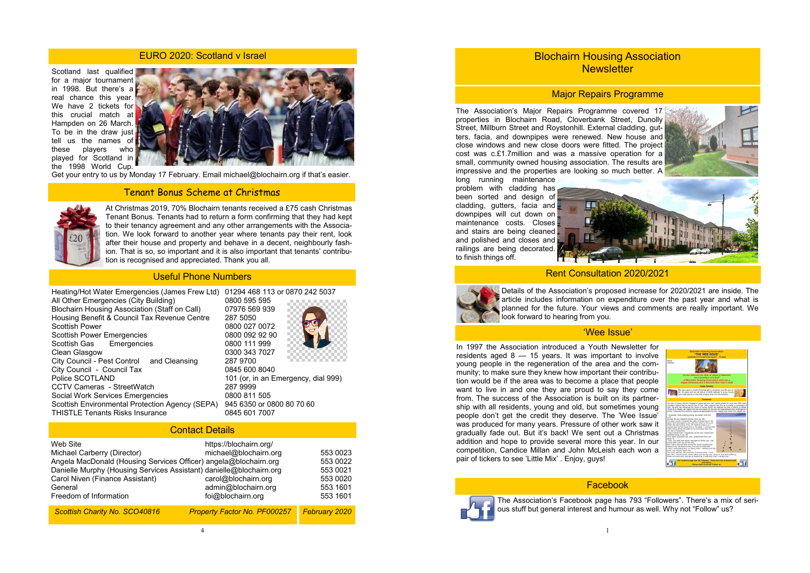Scotland last qualified for a major tournament in 1998. But there's a real chance this year. We have 2 tickets for this crucial match at Hampden on 26 March. To be in the draw just tell us the names of these players who played for Scotland in the 1998 World Cup.



Get your entry to us by Monday 17 February. Email michael@blochairn.org if that's easier.

### EURO 2020: Scotland v Israel

## Tenant Bonus Scheme at Christmas



| Heating/Hot Water Emergencies (James Frew Ltd)         | 01294 468 113 or 0870 242 5037      |
|--------------------------------------------------------|-------------------------------------|
| All Other Emergencies (City Building)                  | 0800 595 595                        |
| <b>Blochairn Housing Association (Staff on Call)</b>   | 07976 569 939                       |
| Housing Benefit & Council Tax Revenue Centre           | 287 5050                            |
| <b>Scottish Power</b>                                  | 0800 027 0072                       |
| <b>Scottish Power Emergencies</b>                      | 0800 092 92 90                      |
| Scottish Gas Emergencies                               | 0800 111 999                        |
| Clean Glasgow                                          | 0300 343 7027                       |
| City Council - Pest Control and Cleansing              | 287 9700                            |
| City Council - Council Tax                             | 0845 600 8040                       |
| Police SCOTLAND                                        | 101 (or, in an Emergency, dial 999) |
| <b>CCTV Cameras - StreetWatch</b>                      | 287 9999                            |
| <b>Social Work Services Emergencies</b>                | 0800 811 505                        |
| <b>Scottish Environmental Protection Agency (SEPA)</b> | 945 6350 or 0800 80 70 60           |
| <b>THISTLE Tenants Risks Insurance</b>                 | 0845 601 7007                       |

Blochairn Housing Association **Newsletter** 

## Useful Phone Numbers

| <b>Contact Details</b>                                                                                                                                                                                                                                     |                                                                                                                    |                                                                      |  |
|------------------------------------------------------------------------------------------------------------------------------------------------------------------------------------------------------------------------------------------------------------|--------------------------------------------------------------------------------------------------------------------|----------------------------------------------------------------------|--|
| Web Site<br>Michael Carberry (Director)<br>Angela MacDonald (Housing Services Officer) angela@blochairn.org<br>Danielle Murphy (Housing Services Assistant) danielle@blochairn.org<br>Carol Niven (Finance Assistant)<br>General<br>Freedom of Information | https://blochairn.org/<br>michael@blochairn.org<br>carol@blochairn.org<br>admin@blochairn.org<br>foi@blochairn.org | 553 0023<br>553 0022<br>553 0021<br>553 0020<br>553 1601<br>553 1601 |  |
| <b>Scottish Charity No. SCO40816</b>                                                                                                                                                                                                                       | <b>Property Factor No. PF000257</b>                                                                                | <b>February 2020</b>                                                 |  |

At Christmas 2019, 70% Blochairn tenants received a £75 cash Christmas Tenant Bonus. Tenants had to return a form confirming that they had kept to their tenancy agreement and any other arrangements with the Association. We look forward to another year where tenants pay their rent, look after their house and property and behave in a decent, neighbourly fashion. That is so, so important and it is also important that tenants' contribution is recognised and appreciated. Thank you all.



# Major Repairs Programme

The Association's Major Repairs Programme covered 17 properties in Blochairn Road, Cloverbank Street, Dunolly Street, Millburn Street and Roystonhill. External cladding, gutters, facia, and downpipes were renewed. New house and close windows and new close doors were fitted. The project cost was c.£1.7million and was a massive operation for a small, community owned housing association. The results are impressive and the properties are looking so much better. A

long running maintenance problem with cladding has been sorted and design of cladding, gutters, facia and downpipes will cut down on maintenance costs. Closes and stairs are being cleaned and polished and closes and railings are being decorated. to finish things off.





## Facebook



The Association's Facebook page has 793 "Followers". There's a mix of serious stuff but general interest and humour as well. Why not "Follow" us?

### 'Wee Issue'

In 1997 the Association introduced a Youth Newsletter for residents aged 8 — 15 years. It was important to involve young people in the regeneration of the area and the community; to make sure they knew how important their contribution would be if the area was to become a place that people want to live in and one they are proud to say they come from. The success of the Association is built on its partnership with all residents, young and old, but sometimes young people don't get the credit they deserve. The 'Wee Issue' was produced for many years. Pressure of other work saw it gradually fade out. But it's back! We sent out a Christmas addition and hope to provide several more this year. In our competition, Candice Millan and John McLeish each won a pair of tickers to see 'Little Mix' . Enjoy, guys!

Details of the Association's proposed increase for 2020/2021 are inside. The article includes information on expenditure over the past year and what is planned for the future. Your views and comments are really important. We look forward to hearing from you.

# Rent Consultation 2020/2021